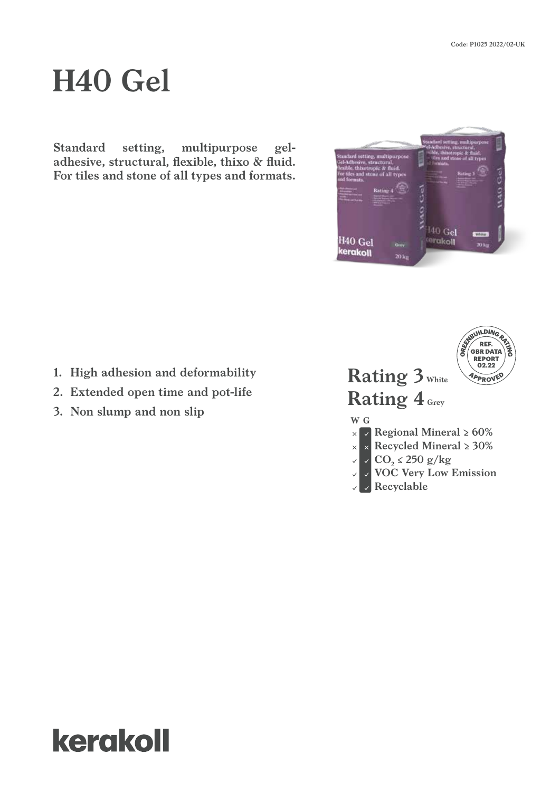# **H40 Gel**

**Standard setting, multipurpose geladhesive, structural, flexible, thixo & fluid. For tiles and stone of all types and formats.**

- **1. High adhesion and deformability**
- **2. Extended open time and pot-life**
- **3. Non slump and non slip**





## kerakoll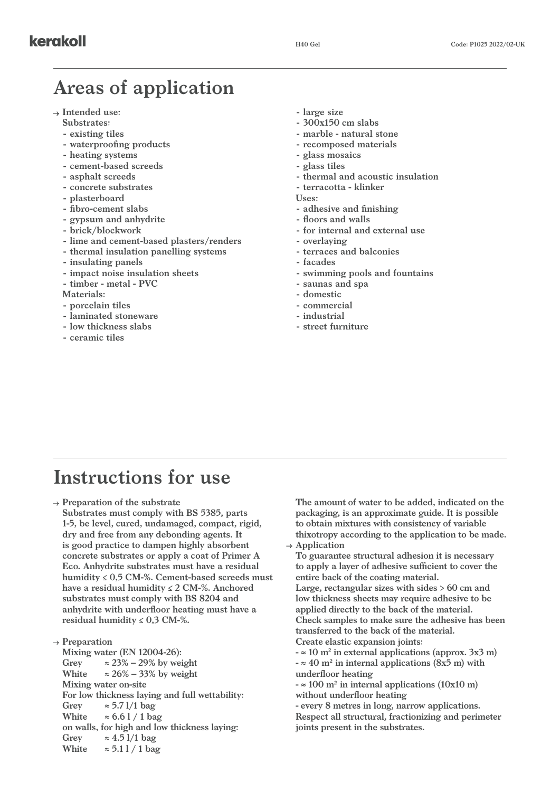#### **Areas of application**

- **Intended use:**
	- **Substrates:**
	- **- existing tiles**
	- **- waterproofing products**
	- **- heating systems**
	- **- cement-based screeds**
	- **- asphalt screeds**
	- **- concrete substrates**
	- **- plasterboard**
	- **- fibro-cement slabs**
	- **- gypsum and anhydrite**
	- **- brick/blockwork**
	- **- lime and cement-based plasters/renders**
	- **- thermal insulation panelling systems**
	- **- insulating panels**
	- **- impact noise insulation sheets**
	- **- timber metal PVC**
	- **Materials:**
	- **- porcelain tiles**
	- **- laminated stoneware**
	- **- low thickness slabs**
	- **- ceramic tiles**
- **- large size**
- **- 300x150 cm slabs**
- **- marble natural stone**
- **- recomposed materials**
- **- glass mosaics**
- **- glass tiles**
- **- thermal and acoustic insulation**
- **- terracotta klinker**
- **Uses:**
- **- adhesive and finishing**
- **- floors and walls**
- **- for internal and external use**
- **- overlaying**
- **- terraces and balconies**
- **- facades**
- **- swimming pools and fountains**
- **- saunas and spa**
- **- domestic**
- **- commercial**
- **- industrial**
- **- street furniture**

#### **Instructions for use**

**Preparation of the substrate**

**Substrates must comply with BS 5385, parts 1-5, be level, cured, undamaged, compact, rigid, dry and free from any debonding agents. It is good practice to dampen highly absorbent concrete substrates or apply a coat of Primer A Eco. Anhydrite substrates must have a residual humidity ≤ 0,5 CM-%. Cement-based screeds must have a residual humidity ≤ 2 CM-%. Anchored substrates must comply with BS 8204 and anhydrite with underfloor heating must have a residual humidity ≤ 0,3 CM-%.**

**Preparation Mixing water (EN 12004-26):** Grey  $\approx 23\% - 29\%$  by weight White  $\approx 26\% - 33\%$  by weight **Mixing water on-site For low thickness laying and full wettability: Grey ≈ 5.7 l/1 bag** White  $\approx 6.61 / 1$  bag **on walls, for high and low thickness laying:** Grey  $\approx 4.51/1$  bag White  $\approx 5.11 / 1$  bag

**The amount of water to be added, indicated on the packaging, is an approximate guide. It is possible to obtain mixtures with consistency of variable thixotropy according to the application to be made. Application**

**To guarantee structural adhesion it is necessary to apply a layer of adhesive sufficient to cover the entire back of the coating material. Large, rectangular sizes with sides > 60 cm and low thickness sheets may require adhesive to be applied directly to the back of the material. Check samples to make sure the adhesive has been transferred to the back of the material. Create elastic expansion joints:**

**- ≈ 10 m2 in external applications (approx. 3x3 m) - ≈ 40 m² in internal applications (8x5 m) with underfloor heating**

**- ≈ 100 m² in internal applications (10x10 m) without underfloor heating**

**- every 8 metres in long, narrow applications. Respect all structural, fractionizing and perimeter joints present in the substrates.**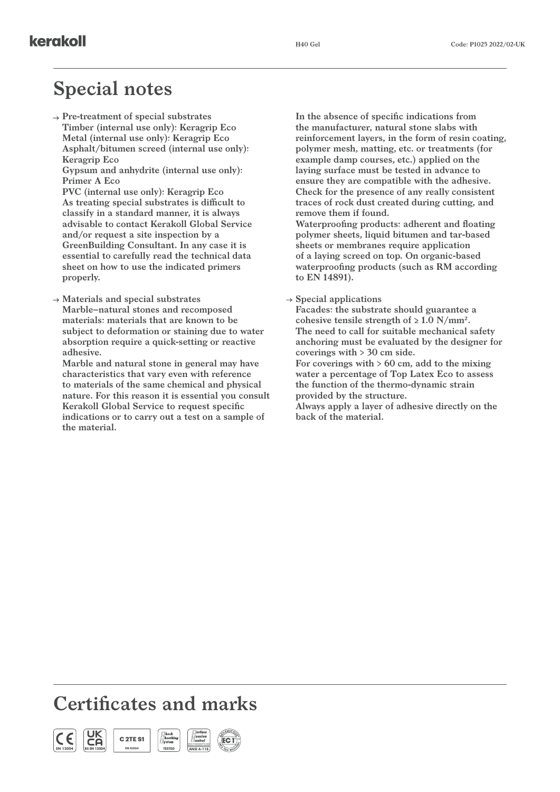### **Special notes**

**Pre-treatment of special substrates Timber (internal use only): Keragrip Eco Metal (internal use only): Keragrip Eco Asphalt/bitumen screed (internal use only): Keragrip Eco**

**Gypsum and anhydrite (internal use only): Primer A Eco**

**PVC (internal use only): Keragrip Eco As treating special substrates is difficult to classify in a standard manner, it is always advisable to contact Kerakoll Global Service and/or request a site inspection by a GreenBuilding Consultant. In any case it is essential to carefully read the technical data sheet on how to use the indicated primers properly.**

**Materials and special substrates Marble–natural stones and recomposed materials: materials that are known to be subject to deformation or staining due to water absorption require a quick-setting or reactive adhesive.**

**Marble and natural stone in general may have characteristics that vary even with reference to materials of the same chemical and physical nature. For this reason it is essential you consult Kerakoll Global Service to request specific indications or to carry out a test on a sample of the material.** 

**In the absence of specific indications from the manufacturer, natural stone slabs with reinforcement layers, in the form of resin coating, polymer mesh, matting, etc. or treatments (for example damp courses, etc.) applied on the laying surface must be tested in advance to ensure they are compatible with the adhesive. Check for the presence of any really consistent traces of rock dust created during cutting, and remove them if found. Waterproofing products: adherent and floating polymer sheets, liquid bitumen and tar-based sheets or membranes require application of a laying screed on top. On organic-based waterproofing products (such as RM according to EN 14891).**

#### **Special applications**

**Facades: the substrate should guarantee a**  cohesive tensile strength of  $\geq 1.0$  N/mm<sup>2</sup>. **The need to call for suitable mechanical safety anchoring must be evaluated by the designer for coverings with > 30 cm side.**

**For coverings with > 60 cm, add to the mixing water a percentage of Top Latex Eco to assess the function of the thermo-dynamic strain provided by the structure.**

**Always apply a layer of adhesive directly on the back of the material.**

#### **Certificates and marks**

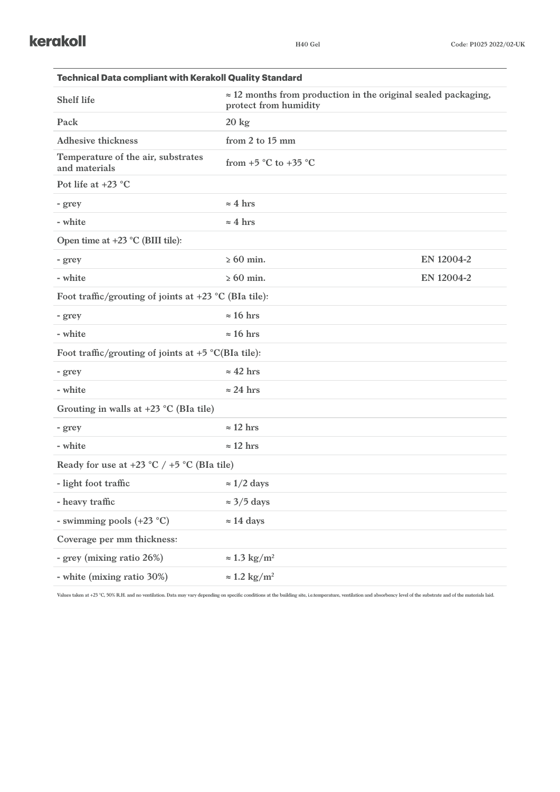| <b>Technical Data compliant with Kerakoll Quality Standard</b> |                                                                                                |            |  |
|----------------------------------------------------------------|------------------------------------------------------------------------------------------------|------------|--|
| <b>Shelf life</b>                                              | $\approx$ 12 months from production in the original sealed packaging,<br>protect from humidity |            |  |
| Pack                                                           | $20 \text{ kg}$                                                                                |            |  |
| <b>Adhesive thickness</b>                                      | from 2 to 15 mm                                                                                |            |  |
| Temperature of the air, substrates<br>and materials            | from $+5$ °C to $+35$ °C                                                                       |            |  |
| Pot life at $+23$ °C                                           |                                                                                                |            |  |
| - grey                                                         | $\approx$ 4 hrs                                                                                |            |  |
| - white                                                        | $\approx$ 4 hrs                                                                                |            |  |
| Open time at $+23$ °C (BIII tile):                             |                                                                                                |            |  |
| - grey                                                         | $\geq 60$ min.                                                                                 | EN 12004-2 |  |
| - white                                                        | $\geq 60$ min.                                                                                 | EN 12004-2 |  |
| Foot traffic/grouting of joints at $+23$ °C (BIa tile):        |                                                                                                |            |  |
| - grey                                                         | $\approx 16$ hrs                                                                               |            |  |
| - white                                                        | $\approx 16$ hrs                                                                               |            |  |
| Foot traffic/grouting of joints at $+5$ °C(BIa tile):          |                                                                                                |            |  |
| - grey                                                         | $\approx$ 42 hrs                                                                               |            |  |
| - white                                                        | $\approx$ 24 hrs                                                                               |            |  |
| Grouting in walls at $+23$ °C (BIa tile)                       |                                                                                                |            |  |
| - grey                                                         | $\approx$ 12 hrs                                                                               |            |  |
| - white                                                        | $\approx$ 12 hrs                                                                               |            |  |
| Ready for use at $+23$ °C / $+5$ °C (BIa tile)                 |                                                                                                |            |  |
| - light foot traffic                                           | $\approx 1/2$ days                                                                             |            |  |
| - heavy traffic                                                | $\approx$ 3/5 days                                                                             |            |  |
| - swimming pools (+23 °C)                                      | $\approx$ 14 days                                                                              |            |  |
| Coverage per mm thickness:                                     |                                                                                                |            |  |
| - grey (mixing ratio 26%)                                      | $\approx 1.3 \text{ kg/m}^2$                                                                   |            |  |
| - white (mixing ratio 30%)                                     | $\approx 1.2$ kg/m <sup>2</sup>                                                                |            |  |

Values taken at +23 °C, 50% R.H. and no ventilation. Data may vary depending on specific conditions at the building site, i.e.temperature, ventilation and absorbency level of the substrate and of the materials laid.